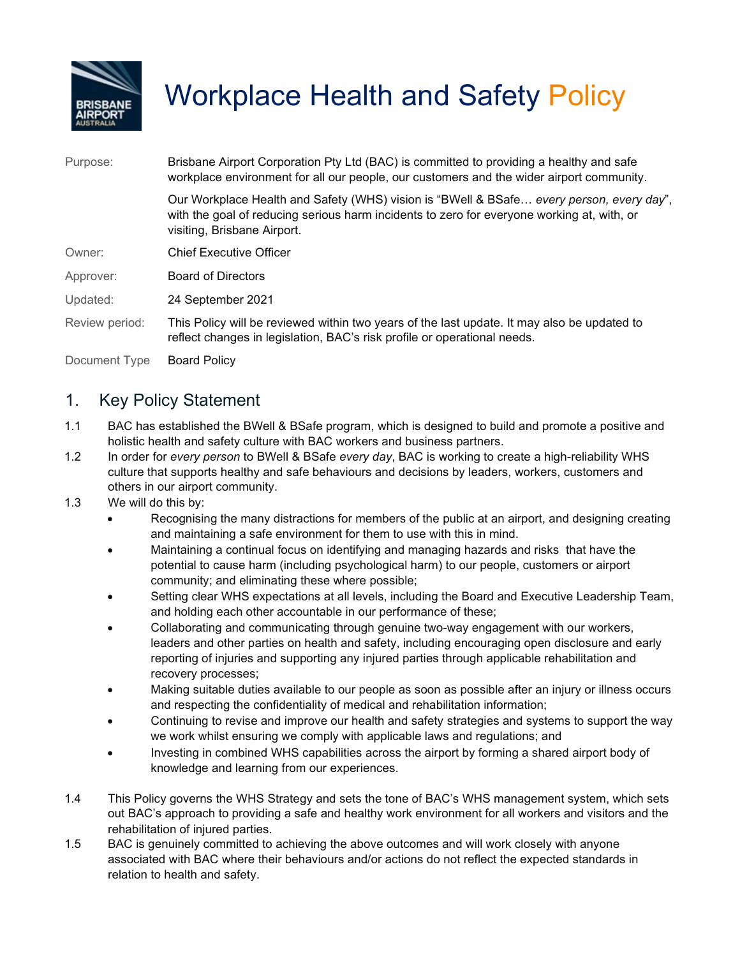

# Workplace Health and Safety Policy

| Purpose:       | Brisbane Airport Corporation Pty Ltd (BAC) is committed to providing a healthy and safe<br>workplace environment for all our people, our customers and the wider airport community.                                   |  |  |
|----------------|-----------------------------------------------------------------------------------------------------------------------------------------------------------------------------------------------------------------------|--|--|
|                | Our Workplace Health and Safety (WHS) vision is "BWell & BSafe every person, every day",<br>with the goal of reducing serious harm incidents to zero for everyone working at, with, or<br>visiting, Brisbane Airport. |  |  |
| Owner:         | <b>Chief Executive Officer</b>                                                                                                                                                                                        |  |  |
| Approver:      | <b>Board of Directors</b>                                                                                                                                                                                             |  |  |
| Updated:       | 24 September 2021                                                                                                                                                                                                     |  |  |
| Review period: | This Policy will be reviewed within two years of the last update. It may also be updated to<br>reflect changes in legislation, BAC's risk profile or operational needs.                                               |  |  |
| Document Type  | <b>Board Policy</b>                                                                                                                                                                                                   |  |  |

### 1. Key Policy Statement

- 1.1 BAC has established the BWell & BSafe program, which is designed to build and promote a positive and holistic health and safety culture with BAC workers and business partners.
- 1.2 In order for *every person* to BWell & BSafe *every day*, BAC is working to create a high-reliability WHS culture that supports healthy and safe behaviours and decisions by leaders, workers, customers and others in our airport community.
- 1.3 We will do this by:
	- Recognising the many distractions for members of the public at an airport, and designing creating and maintaining a safe environment for them to use with this in mind.
	- Maintaining a continual focus on identifying and managing hazards and risks that have the potential to cause harm (including psychological harm) to our people, customers or airport community; and eliminating these where possible;
	- Setting clear WHS expectations at all levels, including the Board and Executive Leadership Team, and holding each other accountable in our performance of these;
	- Collaborating and communicating through genuine two-way engagement with our workers, leaders and other parties on health and safety, including encouraging open disclosure and early reporting of injuries and supporting any injured parties through applicable rehabilitation and recovery processes;
	- Making suitable duties available to our people as soon as possible after an injury or illness occurs and respecting the confidentiality of medical and rehabilitation information;
	- Continuing to revise and improve our health and safety strategies and systems to support the way we work whilst ensuring we comply with applicable laws and regulations; and
	- Investing in combined WHS capabilities across the airport by forming a shared airport body of knowledge and learning from our experiences.
- 1.4 This Policy governs the WHS Strategy and sets the tone of BAC's WHS management system, which sets out BAC's approach to providing a safe and healthy work environment for all workers and visitors and the rehabilitation of injured parties.
- 1.5 BAC is genuinely committed to achieving the above outcomes and will work closely with anyone associated with BAC where their behaviours and/or actions do not reflect the expected standards in relation to health and safety.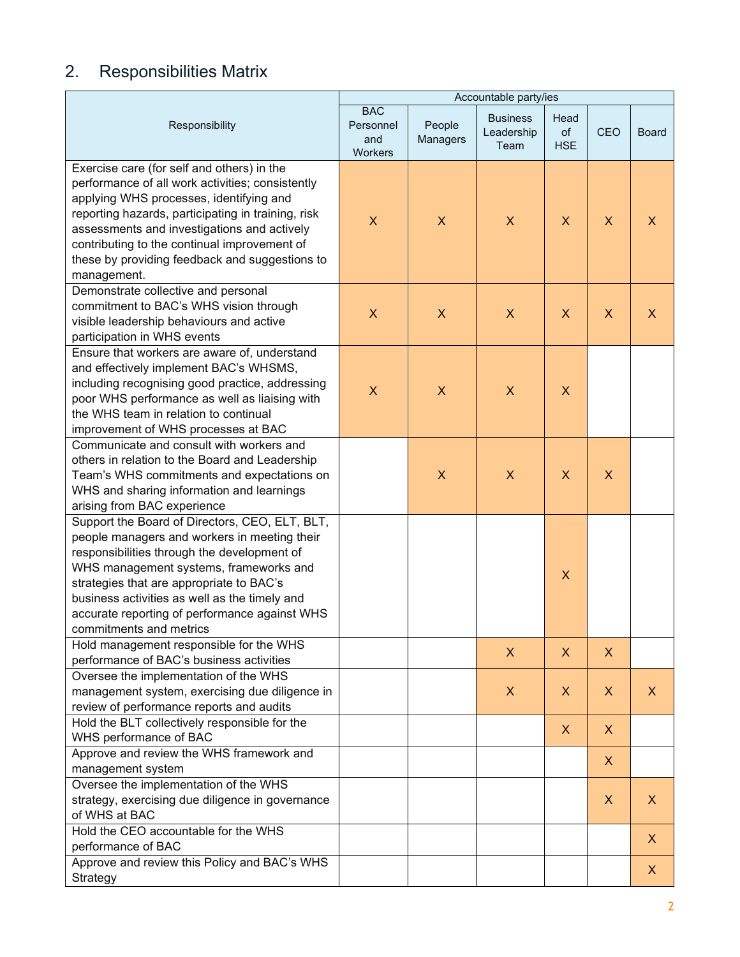## 2. Responsibilities Matrix

|                                                                                                                                                                                                                                                                                                                                                                  | Accountable party/ies                     |                           |                                       |                           |                           |              |
|------------------------------------------------------------------------------------------------------------------------------------------------------------------------------------------------------------------------------------------------------------------------------------------------------------------------------------------------------------------|-------------------------------------------|---------------------------|---------------------------------------|---------------------------|---------------------------|--------------|
| Responsibility                                                                                                                                                                                                                                                                                                                                                   | <b>BAC</b><br>Personnel<br>and<br>Workers | People<br>Managers        | <b>Business</b><br>Leadership<br>Team | Head<br>of<br><b>HSE</b>  | <b>CEO</b>                | <b>Board</b> |
| Exercise care (for self and others) in the<br>performance of all work activities; consistently<br>applying WHS processes, identifying and<br>reporting hazards, participating in training, risk<br>assessments and investigations and actively<br>contributing to the continual improvement of<br>these by providing feedback and suggestions to<br>management.  | X                                         | X                         | X                                     | $\mathsf{X}$              | X                         | X            |
| Demonstrate collective and personal<br>commitment to BAC's WHS vision through<br>visible leadership behaviours and active<br>participation in WHS events                                                                                                                                                                                                         | X                                         | $\boldsymbol{\mathsf{X}}$ | $\boldsymbol{\mathsf{X}}$             | X                         | $\boldsymbol{\mathsf{X}}$ | X            |
| Ensure that workers are aware of, understand<br>and effectively implement BAC's WHSMS,<br>including recognising good practice, addressing<br>poor WHS performance as well as liaising with<br>the WHS team in relation to continual<br>improvement of WHS processes at BAC                                                                                       | $\mathsf{X}$                              | $\boldsymbol{\mathsf{X}}$ | $\mathsf{X}$                          | $\boldsymbol{\mathsf{X}}$ |                           |              |
| Communicate and consult with workers and<br>others in relation to the Board and Leadership<br>Team's WHS commitments and expectations on<br>WHS and sharing information and learnings<br>arising from BAC experience                                                                                                                                             |                                           | X                         | $\overline{\mathsf{X}}$               | $\boldsymbol{\mathsf{X}}$ | $\boldsymbol{\mathsf{X}}$ |              |
| Support the Board of Directors, CEO, ELT, BLT,<br>people managers and workers in meeting their<br>responsibilities through the development of<br>WHS management systems, frameworks and<br>strategies that are appropriate to BAC's<br>business activities as well as the timely and<br>accurate reporting of performance against WHS<br>commitments and metrics |                                           |                           |                                       | $\mathsf{X}$              |                           |              |
| Hold management responsible for the WHS<br>performance of BAC's business activities                                                                                                                                                                                                                                                                              |                                           |                           | X                                     | X                         | X                         |              |
| Oversee the implementation of the WHS<br>management system, exercising due diligence in<br>review of performance reports and audits                                                                                                                                                                                                                              |                                           |                           | X                                     | X                         | X                         | X.           |
| Hold the BLT collectively responsible for the<br>WHS performance of BAC                                                                                                                                                                                                                                                                                          |                                           |                           |                                       | $\mathsf{X}$              | $\boldsymbol{X}$          |              |
| Approve and review the WHS framework and<br>management system                                                                                                                                                                                                                                                                                                    |                                           |                           |                                       |                           | X                         |              |
| Oversee the implementation of the WHS<br>strategy, exercising due diligence in governance<br>of WHS at BAC                                                                                                                                                                                                                                                       |                                           |                           |                                       |                           | $\boldsymbol{\mathsf{X}}$ | X.           |
| Hold the CEO accountable for the WHS<br>performance of BAC                                                                                                                                                                                                                                                                                                       |                                           |                           |                                       |                           |                           | X            |
| Approve and review this Policy and BAC's WHS<br>Strategy                                                                                                                                                                                                                                                                                                         |                                           |                           |                                       |                           |                           | X            |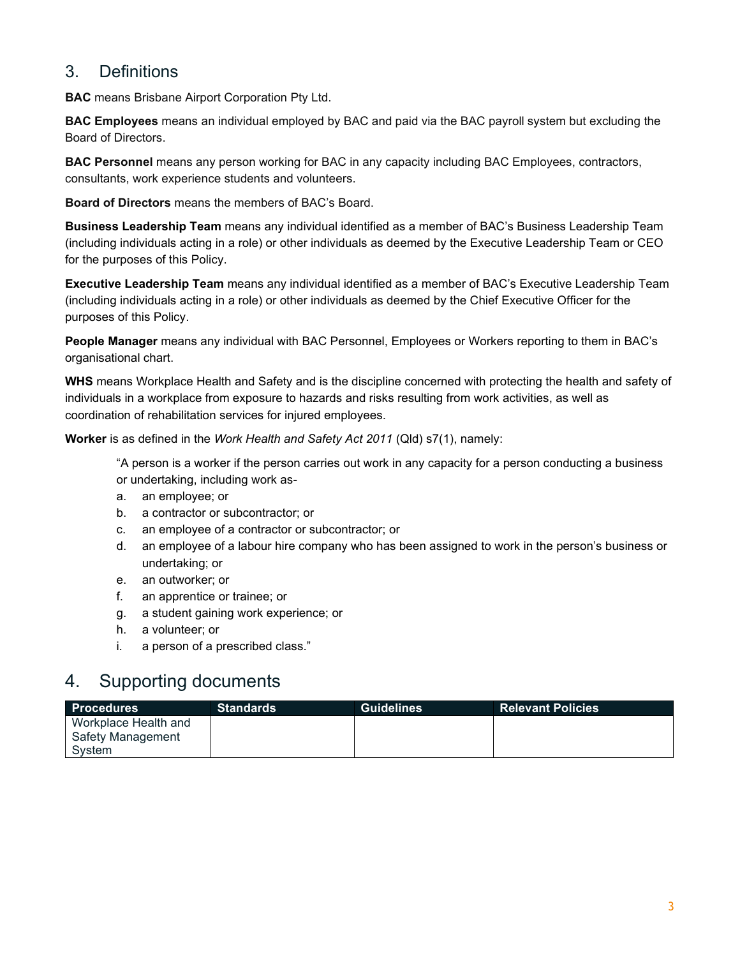#### 3. Definitions

**BAC** means Brisbane Airport Corporation Pty Ltd.

**BAC Employees** means an individual employed by BAC and paid via the BAC payroll system but excluding the Board of Directors.

**BAC Personnel** means any person working for BAC in any capacity including BAC Employees, contractors, consultants, work experience students and volunteers.

**Board of Directors** means the members of BAC's Board.

**Business Leadership Team** means any individual identified as a member of BAC's Business Leadership Team (including individuals acting in a role) or other individuals as deemed by the Executive Leadership Team or CEO for the purposes of this Policy.

**Executive Leadership Team** means any individual identified as a member of BAC's Executive Leadership Team (including individuals acting in a role) or other individuals as deemed by the Chief Executive Officer for the purposes of this Policy.

**People Manager** means any individual with BAC Personnel, Employees or Workers reporting to them in BAC's organisational chart.

**WHS** means Workplace Health and Safety and is the discipline concerned with protecting the health and safety of individuals in a workplace from exposure to hazards and risks resulting from work activities, as well as coordination of rehabilitation services for injured employees.

**Worker** is as defined in the *Work Health and Safety Act 2011* (Qld) s7(1), namely:

"A person is a worker if the person carries out work in any capacity for a person conducting a business or undertaking, including work as-

- a. an employee; or
- b. a contractor or subcontractor; or
- c. an employee of a contractor or subcontractor; or
- d. an employee of a labour hire company who has been assigned to work in the person's business or undertaking; or
- e. an outworker; or
- f. an apprentice or trainee; or
- g. a student gaining work experience; or
- h. a volunteer; or
- i. a person of a prescribed class."

## 4. Supporting documents

| <b>Procedures</b>    | <b>Standards</b> | <b>Guidelines</b> | <b>Relevant Policies</b> |
|----------------------|------------------|-------------------|--------------------------|
| Workplace Health and |                  |                   |                          |
| Safety Management    |                  |                   |                          |
| System               |                  |                   |                          |